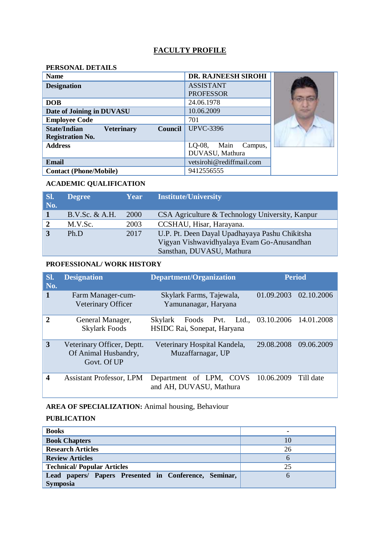### **FACULTY PROFILE**

#### **PERSONAL DETAILS**

| <b>Name</b>                                                | DR. RAJNEESH SIROHI          |  |
|------------------------------------------------------------|------------------------------|--|
| <b>Designation</b>                                         | <b>ASSISTANT</b>             |  |
|                                                            | <b>PROFESSOR</b>             |  |
| <b>DOB</b>                                                 | 24.06.1978                   |  |
| Date of Joining in DUVASU                                  | 10.06.2009                   |  |
| <b>Employee Code</b>                                       | 701                          |  |
| <b>State/Indian</b><br><b>Veterinary</b><br><b>Council</b> | <b>UPVC-3396</b>             |  |
| <b>Registration No.</b>                                    |                              |  |
| <b>Address</b>                                             | $LO-08$ ,<br>Main<br>Campus, |  |
|                                                            | DUVASU, Mathura              |  |
| <b>Email</b>                                               | vetsirohi@rediffmail.com     |  |
| <b>Contact (Phone/Mobile)</b>                              | 9412556555                   |  |

### **ACADEMIC QUALIFICATION**

| SI.<br>No.     | <b>Degree</b>     | Year | <b>Institute/University</b>                     |
|----------------|-------------------|------|-------------------------------------------------|
|                | $B.V.Sc. \& A.H.$ | 2000 | CSA Agriculture & Technology University, Kanpur |
| $\overline{2}$ | M.V.Sc.           | 2003 | CCSHAU, Hisar, Harayana.                        |
|                | Ph.D              | 2017 | U.P. Pt. Deen Dayal Upadhayaya Pashu Chikitsha  |
|                |                   |      | Vigyan Vishwavidhyalaya Evam Go-Anusandhan      |
|                |                   |      | Sansthan, DUVASU, Mathura                       |

#### **PROFESSIONAL/ WORK HISTORY**

| SI.<br>No.              | <b>Designation</b>                                                | <b>Department/Organization</b>                              | <b>Period</b>               |
|-------------------------|-------------------------------------------------------------------|-------------------------------------------------------------|-----------------------------|
| $\mathbf{1}$            | Farm Manager-cum-<br><b>Veterinary Officer</b>                    | Skylark Farms, Tajewala,<br>Yamunanagar, Haryana            | 01.09.2003<br>02.10.2006    |
| $\mathbf{2}$            | General Manager,<br><b>Skylark Foods</b>                          | Foods Pvt.<br><b>Skylark</b><br>HSIDC Rai, Sonepat, Haryana | Ltd., 03.10.2006 14.01.2008 |
| 3                       | Veterinary Officer, Deptt.<br>Of Animal Husbandry,<br>Govt. Of UP | Veterinary Hospital Kandela,<br>Muzaffarnagar, UP           | 29.08.2008<br>09.06.2009    |
| $\overline{\mathbf{4}}$ | <b>Assistant Professor, LPM</b>                                   | Department of LPM, COVS<br>and AH, DUVASU, Mathura          | 10.06.2009<br>Till date     |

# **AREA OF SPECIALIZATION:** Animal housing, Behaviour

### **PUBLICATION**

| <b>Books</b>                                          | ۰             |
|-------------------------------------------------------|---------------|
| <b>Book Chapters</b>                                  | 10            |
| <b>Research Articles</b>                              | 26            |
| <b>Review Articles</b>                                | $\mathfrak h$ |
| <b>Technical/Popular Articles</b>                     | 25            |
| Lead papers/ Papers Presented in Conference, Seminar, |               |
| <b>Symposia</b>                                       |               |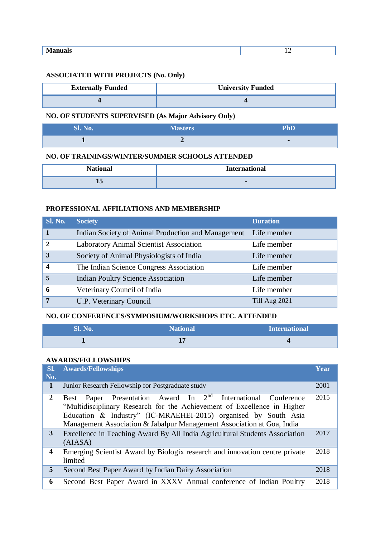| ъ<br>$\cdot$ $\cdot$ |  |
|----------------------|--|
|                      |  |

#### **ASSOCIATED WITH PROJECTS (No. Only)**

| <b>Externally Funded</b> | <b>University Funded</b> |
|--------------------------|--------------------------|
|                          |                          |

## **NO. OF STUDENTS SUPERVISED (As Major Advisory Only)**

| Sl. No. | <b>Masters</b> | <b>PhD</b>               |
|---------|----------------|--------------------------|
|         |                | $\overline{\phantom{a}}$ |

#### **NO. OF TRAININGS/WINTER/SUMMER SCHOOLS ATTENDED**

| <b>National</b> | <b>Internat</b><br>งtional |
|-----------------|----------------------------|
| 15              | $\blacksquare$             |

### **PROFESSIONAL AFFILIATIONS AND MEMBERSHIP**

| <b>Sl. No.</b>   | <b>Society</b>                                     | <b>Duration</b> |
|------------------|----------------------------------------------------|-----------------|
| $\blacksquare$   | Indian Society of Animal Production and Management | Life member     |
| $\overline{2}$   | <b>Laboratory Animal Scientist Association</b>     | Life member     |
| 3                | Society of Animal Physiologists of India           | Life member     |
| $\boldsymbol{4}$ | The Indian Science Congress Association            | Life member     |
| 5                | <b>Indian Poultry Science Association</b>          | Life member     |
| 6                | Veterinary Council of India                        | Life member     |
| 7                | U.P. Veterinary Council                            | Till Aug 2021   |

#### **NO. OF CONFERENCES/SYMPOSIUM/WORKSHOPS ETC. ATTENDED**

| <b>Sl. No.</b> | National <sup>1</sup> | International |
|----------------|-----------------------|---------------|
|                |                       |               |

#### **AWARDS/FELLOWSHIPS**

| SI.<br>No.              | <b>Awards/Fellowships</b>                                                                                                                                                                                                                                                                                   | Year         |
|-------------------------|-------------------------------------------------------------------------------------------------------------------------------------------------------------------------------------------------------------------------------------------------------------------------------------------------------------|--------------|
| $\mathbf 1$             | Junior Research Fellowship for Postgraduate study                                                                                                                                                                                                                                                           | 2001         |
| $\mathbf{2}$<br>3       | Paper Presentation Award In 2 <sup>nd</sup> International Conference<br><b>Best</b><br>"Multidisciplinary Research for the Achievement of Excellence in Higher<br>Education & Industry" (IC-MRAEHEI-2015) organised by South Asia<br>Management Association & Jabalpur Management Association at Goa, India | 2015<br>2017 |
|                         | Excellence in Teaching Award By All India Agricultural Students Association<br>(AIASA)                                                                                                                                                                                                                      |              |
| $\overline{\mathbf{4}}$ | Emerging Scientist Award by Biologix research and innovation centre private<br>limited                                                                                                                                                                                                                      | 2018         |
| 5                       | Second Best Paper Award by Indian Dairy Association                                                                                                                                                                                                                                                         | 2018         |
| 6                       | Second Best Paper Award in XXXV Annual conference of Indian Poultry                                                                                                                                                                                                                                         | 2018         |